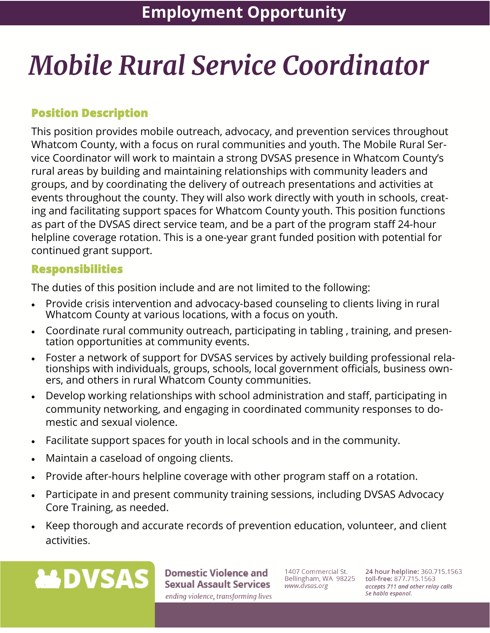# **Mobile Rural Service Coordinator**

## **Position Description**

This position provides mobile outreach, advocacy, and prevention services throughout Whatcom County, with a focus on rural communities and youth. The Mobile Rural Service Coordinator will work to maintain a strong DVSAS presence in Whatcom County's rural areas by building and maintaining relationships with community leaders and groups, and by coordinating the delivery of outreach presentations and activities at events throughout the county. They will also work directly with youth in schools, creating and facilitating support spaces for Whatcom County youth. This position functions as part of the DVSAS direct service team, and be a part of the program staff 24-hour helpline coverage rotation. This is a one-year grant funded position with potential for continued grant support.

#### **Responsibilities**

The duties of this position include and are not limited to the following:

- Provide crisis intervention and advocacy-based counseling to clients living in rural Whatcom County at various locations, with a focus on youth.
- Coordinate rural community outreach, participating in tabling , training, and presentation opportunities at community events.
- Foster a network of support for DVSAS services by actively building professional relationships with individuals, groups, schools, local government officials, business owners, and others in rural Whatcom County communities.
- Develop working relationships with school administration and staff, participating in community networking, and engaging in coordinated community responses to domestic and sexual violence.
- Facilitate support spaces for youth in local schools and in the community.
- Maintain a caseload of ongoing clients.
- Provide after-hours helpline coverage with other program staff on a rotation.
- Participate in and present community training sessions, including DVSAS Advocacy Core Training, as needed.
- Keep thorough and accurate records of prevention education, volunteer, and client activities.



**Domestic Violence and Sexual Assault Services** ending violence, transforming lives

1407 Commercial St. Bellingham, WA 98225 www.dvsas.org

24 hour helpline: 360.715.1563 toll-free: 877.715.1563 accepts 711 and other relay calls Se habla espanol.